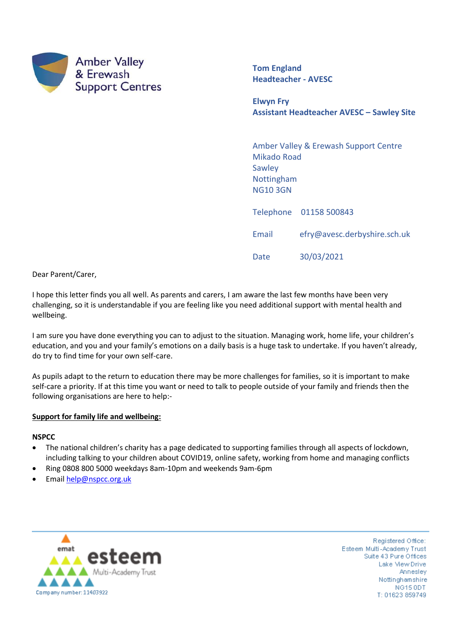

**Tom England Headteacher - AVESC**

Date 30/03/2021

**Elwyn Fry Assistant Headteacher AVESC – Sawley Site**

Amber Valley & Erewash Support Centre Mikado Road **Sawley** Nottingham NG10 3GN Telephone 01158 500843 Email efry@avesc.derbyshire.sch.uk

Dear Parent/Carer,

I hope this letter finds you all well. As parents and carers, I am aware the last few months have been very challenging, so it is understandable if you are feeling like you need additional support with mental health and wellbeing.

I am sure you have done everything you can to adjust to the situation. Managing work, home life, your children's education, and you and your family's emotions on a daily basis is a huge task to undertake. If you haven't already, do try to find time for your own self-care.

As pupils adapt to the return to education there may be more challenges for families, so it is important to make self-care a priority. If at this time you want or need to talk to people outside of your family and friends then the following organisations are here to help:-

### **Support for family life and wellbeing:**

### **NSPCC**

- The national children's charity has a page dedicated to supporting families through all aspects of lockdown, including talking to your children about COVID19, online safety, working from home and managing conflicts
- Ring 0808 800 5000 weekdays 8am-10pm and weekends 9am-6pm
- Emai[l help@nspcc.org.uk](mailto:help@nspcc.org.uk)



Registered Office: Esteem Multi-Academy Trust Suite 43 Pure Offices Lake Mew Drive Annesley Nottinghamshire NG15 ODT T: 01623 859749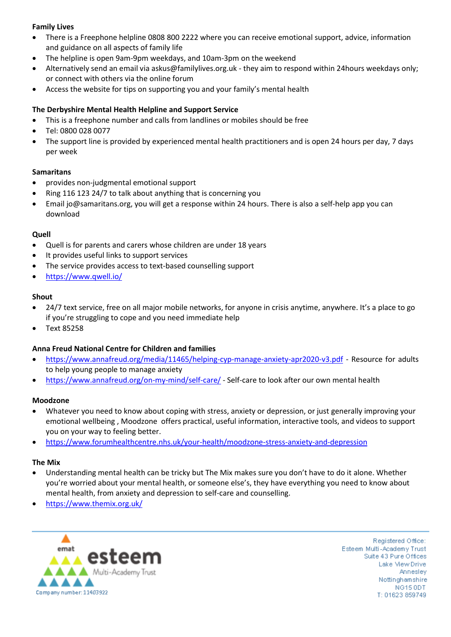# **Family Lives**

- There is a Freephone helpline 0808 800 2222 where you can receive emotional support, advice, information and guidance on all aspects of family life
- The helpline is open 9am-9pm weekdays, and 10am-3pm on the weekend
- Alternatively send an email via askus@familylives.org.uk they aim to respond within 24hours weekdays only; or connect with others via the online forum
- Access the website for tips on supporting you and your family's mental health

## **The [Derbyshire Mental Health Helpline and Support Service](https://www.derbyshirehealthcareft.nhs.uk/getting-help/coronavirus-covid-19/mental-health-support-line)**

- This is a freephone number and calls from landlines or mobiles should be free
- Tel: 0800 028 0077
- The support line is provided by experienced mental health practitioners and is open 24 hours per day, 7 days per week

## **Samaritans**

- provides non-judgmental emotional support
- Ring 116 123 24/7 to talk about anything that is concerning you
- Email jo@samaritans.org, you will get a response within 24 hours. There is also a self-help app you can download

## **Quell**

- Quell is for parents and carers whose children are under 18 years
- It provides useful links to support services
- The service provides access to text-based counselling support
- <https://www.qwell.io/>

### **Shout**

- 24/7 text service, free on all major mobile networks, for anyone in crisis anytime, anywhere. It's a place to go if you're struggling to cope and you need immediate help
- Text 85258

## **Anna Freud National Centre for Children and families**

- <https://www.annafreud.org/media/11465/helping-cyp-manage-anxiety-apr2020-v3.pdf> Resource for adults to help young people to manage anxiety
- <https://www.annafreud.org/on-my-mind/self-care/> Self-care to look after our own mental health

### **Moodzone**

- Whatever you need to know about coping with stress, anxiety or depression, or just generally improving your emotional wellbeing , Moodzone offers practical, useful information, interactive tools, and videos to support you on your way to feeling better.
- <https://www.forumhealthcentre.nhs.uk/your-health/moodzone-stress-anxiety-and-depression>

## **The Mix**

- Understanding mental health can be tricky but The Mix makes sure you don't have to do it alone. Whether you're worried about your mental health, or someone else's, they have everything you need to know about mental health, from anxiety and depression to self-care and counselling.
- <https://www.themix.org.uk/>



Registered Office: Esteem Multi-Academy Trust Suite 43 Pure Offices Lake Mew Drive Annesley Nottinghamshire NG15 ODT T: 01623 859749